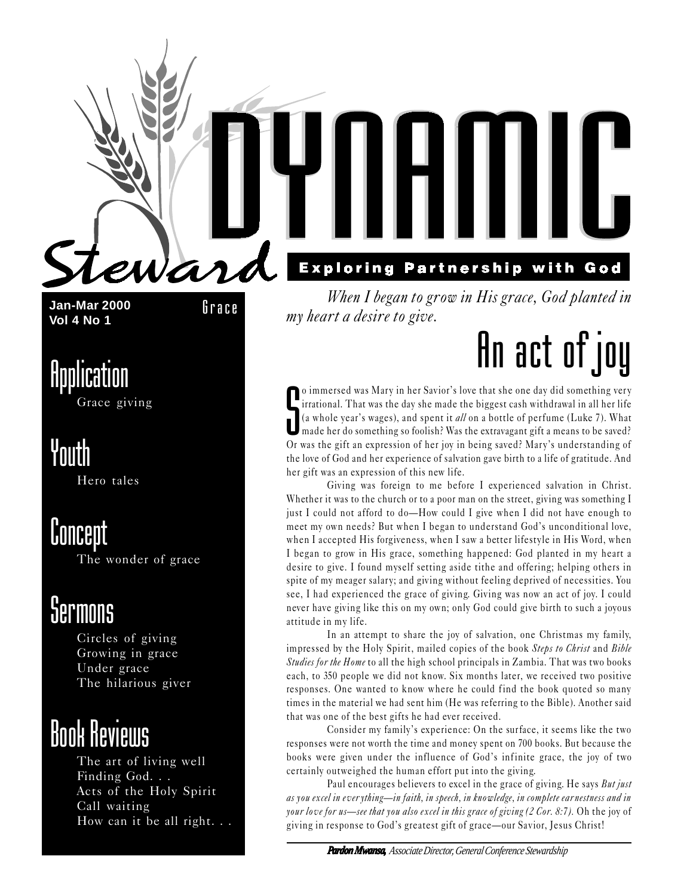

**Exploring Partnership with God** 

**Jan-Mar 2000 Vol 4 No 1**

Grace

### Application

Grace giving

### Youth

Hero tales

### Concept

The wonder of grace

### *<u>Sermons</u>*

Circles of giving Growing in grace Under grace The hilarious giver

### Book Reviews

The art of living well Finding God. . . Acts of the Holy Spirit Call waiting How can it be all right. . .

When I began to grow in His grace, God planted in my heart a desire to give.

# An act of joy

o immersed was Mary in her Savior's love that she one day did something very irrational. That was the day she made the biggest cash withdrawal in all her life (a whole year's wages), and spent it all on a bottle of perfume (Luke 7). What made her do something so foolish? Was the extravagant gift a means to be saved? Or immersed was Mary in her Savior's love that she one day did something very<br>irrational. That was the day she made the biggest cash withdrawal in all her life<br>(a whole year's wages), and spent it *all* on a bottle of perf the love of God and her experience of salvation gave birth to a life of gratitude. And her gift was an expression of this new life.

Giving was foreign to me before I experienced salvation in Christ. Whether it was to the church or to a poor man on the street, giving was something I just I could not afford to do—How could I give when I did not have enough to meet my own needs? But when I began to understand God's unconditional love, when I accepted His forgiveness, when I saw a better lifestyle in His Word, when I began to grow in His grace, something happened: God planted in my heart a desire to give. I found myself setting aside tithe and offering; helping others in spite of my meager salary; and giving without feeling deprived of necessities. You see, I had experienced the grace of giving. Giving was now an act of joy. I could never have giving like this on my own; only God could give birth to such a joyous attitude in my life.

In an attempt to share the joy of salvation, one Christmas my family, impressed by the Holy Spirit, mailed copies of the book Steps to Christ and Bible Studies for the Home to all the high school principals in Zambia. That was two books each, to 350 people we did not know. Six months later, we received two positive responses. One wanted to know where he could find the book quoted so many times in the material we had sent him (He was referring to the Bible). Another said that was one of the best gifts he had ever received.

Consider my family's experience: On the surface, it seems like the two responses were not worth the time and money spent on 700 books. But because the books were given under the influence of God's infinite grace, the joy of two certainly outweighed the human effort put into the giving.

Paul encourages believers to excel in the grace of giving. He says But just as you excel in everything—in faith, in speech, in knowledge, in complete earnestness and in your love for us—see that you also excel in this grace of giving  $(2 \text{ Cor. } 8:7)$ . Oh the joy of giving in response to God's greatest gift of grace—our Savior, Jesus Christ!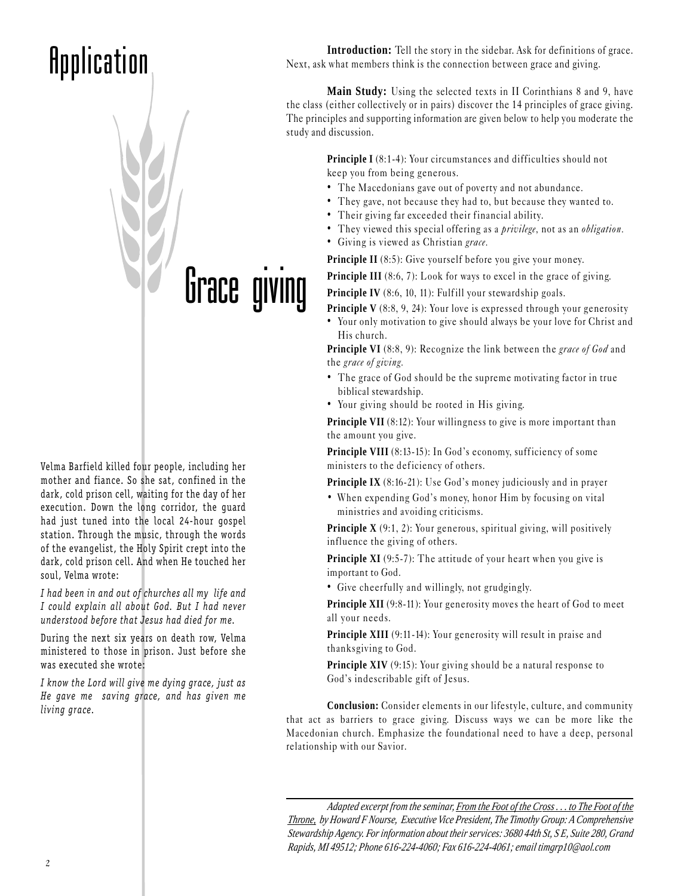## **Application**

# Grace giving

Velma Barfield killed four people, including her mother and fiance. So she sat, confined in the dark, cold prison cell, waiting for the day of her execution. Down the long corridor, the guard had just tuned into the local 24-hour gospel station. Through the music, through the words of the evangelist, the Holy Spirit crept into the dark, cold prison cell. And when He touched her soul, Velma wrote:

*I had been in and out of churches all my life and I could explain all about God. But I had never understood before that Jesus had died for me.*

During the next six years on death row, Velma ministered to those in prison. Just before she was executed she wrote:

*I know the Lord will give me dying grace, just as He gave me saving grace, and has given me living grace.*

**Introduction:** Tell the story in the sidebar. Ask for definitions of grace. Next, ask what members think is the connection between grace and giving.

**Main Study:** Using the selected texts in II Corinthians 8 and 9, have the class (either collectively or in pairs) discover the 14 principles of grace giving. The principles and supporting information are given below to help you moderate the study and discussion.

> **Principle I** (8:1-4): Your circumstances and difficulties should not keep you from being generous.

- The Macedonians gave out of poverty and not abundance.
- They gave, not because they had to, but because they wanted to.
- Their giving far exceeded their financial ability.
- They viewed this special offering as a *privilege*, not as an *obligation*.
- Giving is viewed as Christian grace.

**Principle II** (8:5): Give yourself before you give your money.

**Principle III** (8:6, 7): Look for ways to excel in the grace of giving.

Principle IV (8:6, 10, 11): Fulfill your stewardship goals.

**Principle V** (8:8, 9, 24): Your love is expressed through your generosity

• Your only motivation to give should always be your love for Christ and His church.

**Principle VI** (8:8, 9): Recognize the link between the grace of God and the grace of giving.

- *•* The grace of God should be the supreme motivating factor in true biblical stewardship.
- *•* Your giving should be rooted in His giving.

**Principle VII** (8:12): Your willingness to give is more important than the amount you give.

**Principle VIII** (8:13-15): In God's economy, sufficiency of some ministers to the deficiency of others.

**Principle IX** (8:16-21): Use God's money judiciously and in prayer

• When expending God's money, honor Him by focusing on vital ministries and avoiding criticisms.

**Principle X** (9:1, 2): Your generous, spiritual giving, will positively influence the giving of others.

**Principle XI** (9:5-7): The attitude of your heart when you give is important to God.

• Give cheerfully and willingly, not grudgingly.

**Principle XII** (9:8-11): Your generosity moves the heart of God to meet all your needs.

**Principle XIII** (9:11-14): Your generosity will result in praise and thanksgiving to God.

**Principle XIV** (9:15): Your giving should be a natural response to God's indescribable gift of Jesus.

**Conclusion:** Consider elements in our lifestyle, culture, and community that act as barriers to grace giving. Discuss ways we can be more like the Macedonian church. Emphasize the foundational need to have a deep, personal relationship with our Savior.

*Adapted excerpt from the seminar, From the Foot of the Cross . . . to The Foot of the Throne, by Howard F Nourse, Executive Vice President, The Timothy Group: A Comprehensive Stewardship Agency. For information about their services: 3680 44th St, S E, Suite 280, Grand Rapids, MI 49512; Phone 616-224-4060; Fax 616-224-4061; email timgrp10@aol.com*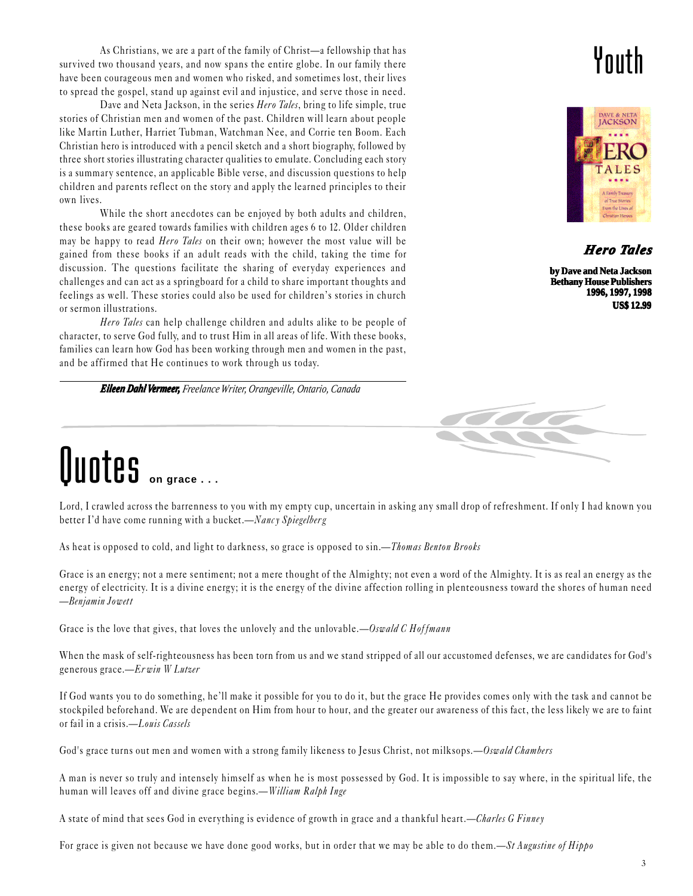As Christians, we are a part of the family of Christ—a fellowship that has survived two thousand years, and now spans the entire globe. In our family there have been courageous men and women who risked, and sometimes lost, their lives to spread the gospel, stand up against evil and injustice, and serve those in need.

Dave and Neta Jackson, in the series *Hero Tales*, bring to life simple, true stories of Christian men and women of the past. Children will learn about people like Martin Luther, Harriet Tubman, Watchman Nee, and Corrie ten Boom. Each Christian hero is introduced with a pencil sketch and a short biography, followed by three short stories illustrating character qualities to emulate. Concluding each story is a summary sentence, an applicable Bible verse, and discussion questions to help children and parents reflect on the story and apply the learned principles to their own lives.

While the short anecdotes can be enjoyed by both adults and children, these books are geared towards families with children ages 6 to 12. Older children may be happy to read *Hero Tales* on their own; however the most value will be gained from these books if an adult reads with the child, taking the time for discussion. The questions facilitate the sharing of everyday experiences and challenges and can act as a springboard for a child to share important thoughts and feelings as well. These stories could also be used for children's stories in church or sermon illustrations.

Hero Tales can help challenge children and adults alike to be people of character, to serve God fully, and to trust Him in all areas of life. With these books, families can learn how God has been working through men and women in the past, and be affirmed that He continues to work through us today.

*Eileen Dahl Eileen Vermeer, Freelance Writer, Orangeville, Ontario, Canada*

# $$

Lord, I crawled across the barrenness to you with my empty cup, uncertain in asking any small drop of refreshment. If only I had known you better I'd have come running with a bucket.—Nancy Spiegelberg

As heat is opposed to cold, and light to darkness, so grace is opposed to sin.—Thomas Benton Brooks

Grace is an energy; not a mere sentiment; not a mere thought of the Almighty; not even a word of the Almighty. It is as real an energy as the energy of electricity. It is a divine energy; it is the energy of the divine affection rolling in plenteousness toward the shores of human need Benjamin Jowett

Grace is the love that gives, that loves the unlovely and the unlovable. $-0$ swald C Hoffmann

When the mask of self-righteousness has been torn from us and we stand stripped of all our accustomed defenses, we are candidates for God's generous grace.— $Erwin W Lutser$ 

If God wants you to do something, he'll make it possible for you to do it, but the grace He provides comes only with the task and cannot be stockpiled beforehand. We are dependent on Him from hour to hour, and the greater our awareness of this fact, the less likely we are to faint or fail in a crisis.-Louis Cassels

God's grace turns out men and women with a strong family likeness to Jesus Christ, not milksops.—Oswald Chambers

A man is never so truly and intensely himself as when he is most possessed by God. It is impossible to say where, in the spiritual life, the human will leaves off and divine grace begins.—William Ralph Inge

A state of mind that sees God in everything is evidence of growth in grace and a thankful heart.—Charles G Finney

For grace is given not because we have done good works, but in order that we may be able to do them.—St Augustine of Hippo

### Youth



*Hero Tales*

**by Dave and Neta Jackson Bethany House Publishers 1996, 1997, 1998 US\$ 12.99**

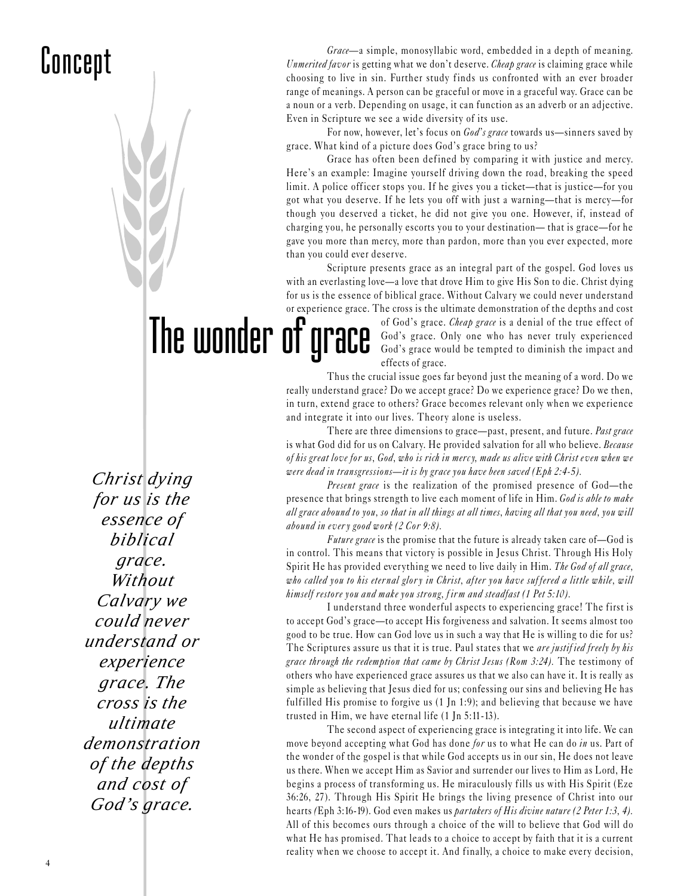### Concept

Grace—a simple, monosyllabic word, embedded in a depth of meaning. Unmerited favor is getting what we don't deserve. Cheap grace is claiming grace while choosing to live in sin. Further study finds us confronted with an ever broader range of meanings. A person can be graceful or move in a graceful way. Grace can be a noun or a verb. Depending on usage, it can function as an adverb or an adjective. Even in Scripture we see a wide diversity of its use.

For now, however, let's focus on God's grace towards us—sinners saved by grace. What kind of a picture does God's grace bring to us?

Grace has often been defined by comparing it with justice and mercy. Here's an example: Imagine yourself driving down the road, breaking the speed limit. A police officer stops you. If he gives you a ticket—that is justice—for you got what you deserve. If he lets you off with just a warning-that is mercy-for though you deserved a ticket, he did not give you one. However, if, instead of charging you, he personally escorts you to your destination— that is grace—for he gave you more than mercy, more than pardon, more than you ever expected, more than you could ever deserve.

Scripture presents grace as an integral part of the gospel. God loves us with an everlasting love—a love that drove Him to give His Son to die. Christ dying for us is the essence of biblical grace. Without Calvary we could never understand or experience grace. The cross is the ultimate demonstration of the depths and cost

The wonder of grace

of God's grace. Cheap grace is a denial of the true effect of God's grace. Only one who has never truly experienced God's grace would be tempted to diminish the impact and effects of grace.

Thus the crucial issue goes far beyond just the meaning of a word. Do we really understand grace? Do we accept grace? Do we experience grace? Do we then, in turn, extend grace to others? Grace becomes relevant only when we experience and integrate it into our lives. Theory alone is useless.

There are three dimensions to grace—past, present, and future. Past grace is what God did for us on Calvary. He provided salvation for all who believe. Because of his great love for us, God, who is rich in mercy, made us alive with Christ even when we were dead in transgressions—it is by grace you have been saved (Eph 2:4-5).

Present grace is the realization of the promised presence of God-the presence that brings strength to live each moment of life in Him. God is able to make all grace abound to you, so that in all things at all times, having all that you need, you will abound in ever y good work (2 Cor 9:8).

Future grace is the promise that the future is already taken care of-God is in control. This means that victory is possible in Jesus Christ. Through His Holy Spirit He has provided everything we need to live daily in Him. The God of all grace, who called you to his eternal glory in Christ, after you have suffered a little while, will himself restore you and make you strong, firm and steadfast (1 Pet 5:10).

I understand three wonder ful aspects to experiencing grace! The first is to accept God's grace—to accept His forgiveness and salvation. It seems almost too good to be true. How can God love us in such a way that He is willing to die for us? The Scriptures assure us that it is true. Paul states that we are justified freely by his grace through the redemption that came by Christ Jesus (Rom 3:24). The testimony of others who have experienced grace assures us that we also can have it. It is really as simple as believing that Jesus died for us; confessing our sins and believing He has fulfilled His promise to forgive us (1 Jn 1:9); and believing that because we have trusted in Him, we have eternal life (1 Jn 5:11-13).

The second aspect of experiencing grace is integrating it into life. We can move beyond accepting what God has done for us to what He can do in us. Part of the wonder of the gospel is that while God accepts us in our sin, He does not leave us there. When we accept Him as Savior and surrender our lives to Him as Lord, He begins a process of transforming us. He miraculously fills us with His Spirit (Eze 36:26, 27). Through His Spirit He brings the living presence of Christ into our hearts (Eph 3:16-19). God even makes us partakers of His divine nature (2 Peter 1:3, 4). All of this becomes ours through a choice of the will to believe that God will do what He has promised. That leads to a choice to accept by faith that it is a current reality when we choose to accept it. And finally, a choice to make every decision,

*Christ dying for us is the essence of biblical grace. Without Calvary we could never understand or experience grace. The cross is the ultimate demonstration of the depths and cost of God's grace.*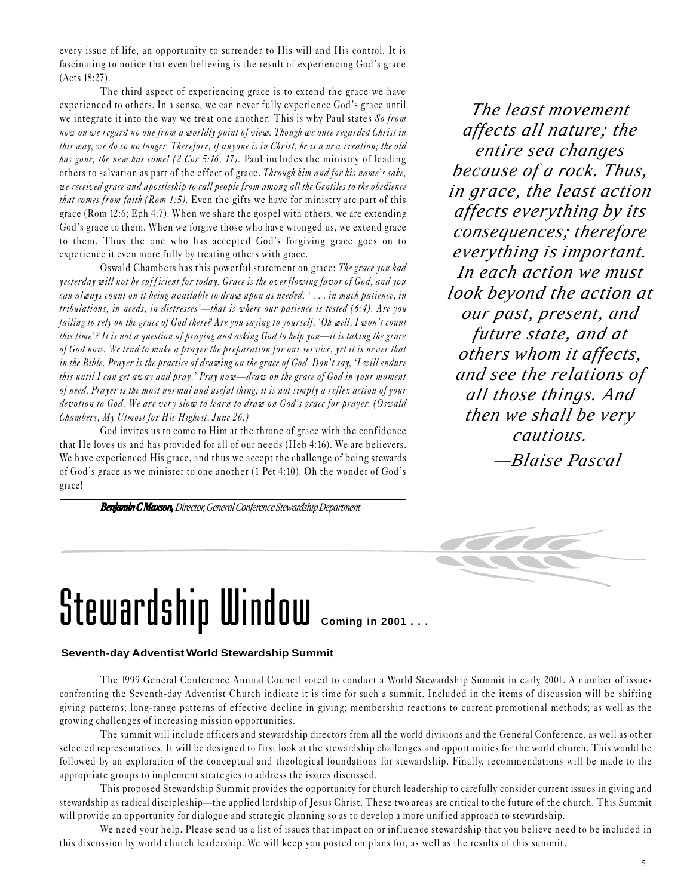every issue of life, an opportunity to surrender to His will and His control. It is fascinating to notice that even believing is the result of experiencing God's grace (Acts 18:27).

The third aspect of experiencing grace is to extend the grace we have experienced to others. In a sense, we can never fully experience God's grace until we integrate it into the way we treat one another. This is why Paul states So from now on we regard no one from a worldly point of view. Though we once regarded Christ in this way, we do so no longer. Therefore, if anyone is in Christ, he is a new creation; the old has gone, the new has come! (2 Cor 5:16, 17). Paul includes the ministry of leading others to salvation as part of the effect of grace. Through him and for his name's sake, we received grace and apostleship to call people from among all the Gentiles to the obedience that comes from faith (Rom 1:5). Even the gifts we have for ministry are part of this grace (Rom 12:6; Eph 4:7). When we share the gospel with others, we are extending God's grace to them. When we forgive those who have wronged us, we extend grace to them. Thus the one who has accepted God's forgiving grace goes on to experience it even more fully by treating others with grace.

Oswald Chambers has this powerful statement on grace: The grace you had yesterday will not be suff icient for today. Grace is the overflowing favor of God, and you can always count on it being available to draw upon as needed. . . . in much patience, in tribulations, in needs, in distresses'—that is where our patience is tested (6:4). Are you failing to rely on the grace of God there? Are you saying to yourself, 'Oh well, I won't count this time'? It is not a question of praying and asking God to help you-it is taking the grace of God now. We tend to make a prayer the preparation for our service, yet it is never that in the Bible. Prayer is the practice of drawing on the grace of God. Don't say, 'I will endure this until I can get away and pray.' Pray now—draw on the grace of God in your moment of need. Prayer is the most normal and useful thing; it is not simply a reflex action of your devotion to God. We are very slow to learn to draw on God's grace for prayer. (Oswald Chambers, My Utmost for His Highest, June 26.)

God invites us to come to Him at the throne of grace with the confidence that He loves us and has provided for all of our needs (Heb 4:16). We are believers. We have experienced His grace, and thus we accept the challenge of being stewards of God's grace as we minister to one another  $(1$  Pet 4:10). Oh the wonder of God's grace!

*Benjamin C Maxson, Director, General Conference Stewardship Department*

*The least movement affects all nature; the entire sea changes because of a rock. Thus, in grace, the least action affects everything by its consequences; therefore everything is important. In each action we must look beyond the action at our past, present, and future state, and at others whom it affects, and see the relations of all those things. And then we shall be very cautious. —Blaise Pascal*



# Stewardship Window **Coming in 2001...**

#### **Seventh-day Adventist World Stewardship Summit**

The 1999 General Conference Annual Council voted to conduct a World Stewardship Summit in early 2001. A number of issues confronting the Seventh-day Adventist Church indicate it is time for such a summit. Included in the items of discussion will be shifting giving patterns; long-range patterns of effective decline in giving; membership reactions to current promotional methods; as well as the growing challenges of increasing mission opportunities.

The summit will include officers and stewardship directors from all the world divisions and the General Conference, as well as other selected representatives. It will be designed to first look at the stewardship challenges and opportunities for the world church. This would be followed by an exploration of the conceptual and theological foundations for stewardship. Finally, recommendations will be made to the appropriate groups to implement strategies to address the issues discussed.

This proposed Stewardship Summit provides the opportunity for church leadership to carefully consider current issues in giving and stewardship as radical discipleship—the applied lordship of Jesus Christ. These two areas are critical to the future of the church. This Summit will provide an opportunity for dialogue and strategic planning so as to develop a more unified approach to stewardship.

We need your help. Please send us a list of issues that impact on or influence stewardship that you believe need to be included in this discussion by world church leadership. We will keep you posted on plans for, as well as the results of this summit.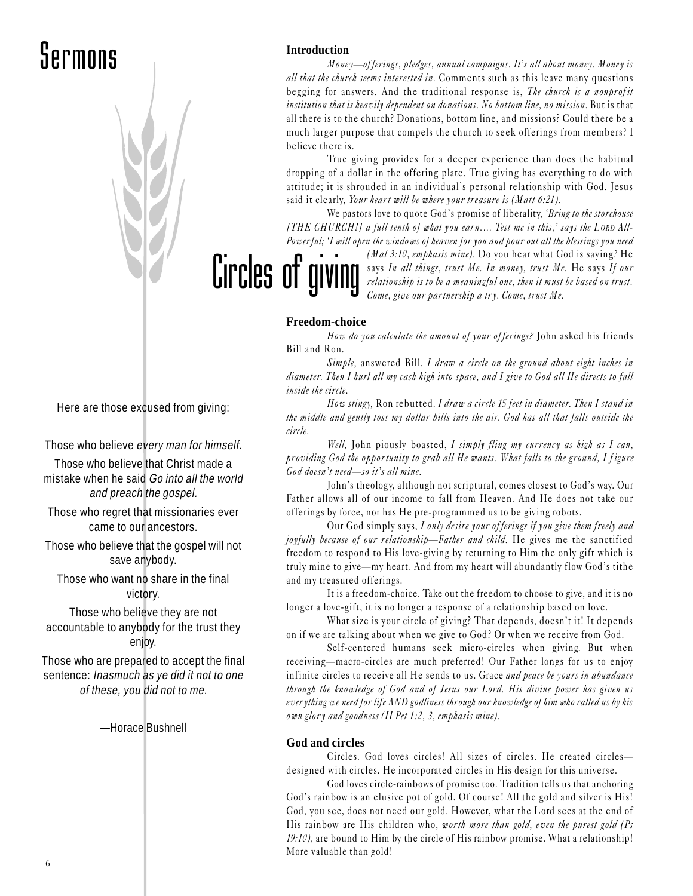### Sermons



#### **Introduction**

 $Money—offerings, pledges, annual campaigns. It's all about money. Money is$ all that the church seems interested in. Comments such as this leave many questions begging for answers. And the traditional response is, The church is a nonprofit institution that is heavily dependent on donations. No bottom line, no mission. But is that all there is to the church? Donations, bottom line, and missions? Could there be a much larger purpose that compels the church to seek offerings from members? I believe there is.

True giving provides for a deeper experience than does the habitual dropping of a dollar in the offering plate. True giving has everything to do with attitude; it is shrouded in an individual's personal relationship with God. Jesus said it clearly, Your heart will be where your treasure is  $(Matt 6:21)$ .

We pastors love to quote God's promise of liberality, 'Bring to the storehouse [THE CHURCH!] a full tenth of what you earn.... Test me in this,' says the LORD All-Power ful; 'I will open the windows of heaven for you and pour out all the blessings you need

Circles of giving (Mal 3:10, emphasis mine). Do you hear what God is saying? He says In all things, trust Me. In money, trust Me. He says If our relationship is to be a meaningful one, then it must be based on trust. Come, give our partnership a tr y. Come, trust Me.

#### **Freedom-choice**

How do you calculate the amount of your of ferings? John asked his friends Bill and Ron.

Simple, answered Bill. I draw a circle on the ground about eight inches in diameter. Then I hurl all my cash high into space, and I give to God all He directs to fall inside the circle.

How stingy, Ron rebutted. I draw a circle 15 feet in diameter. Then I stand in the middle and gently toss my dollar bills into the air. God has all that falls outside the circle.

Well, John piously boasted, I simply fling my currency as high as I can, providing God the opportunity to grab all He wants. What falls to the ground, I figure God doesn't need—so it's all mine.

John's theology, although not scriptural, comes closest to God's way. Our Father allows all of our income to fall from Heaven. And He does not take our offerings by force, nor has He pre-programmed us to be giving robots.

Our God simply says, I only desire your offerings if you give them freely and joyfully because of our relationship—Father and child. He gives me the sanctified freedom to respond to His love-giving by returning to Him the only gift which is truly mine to give—my heart. And from my heart will abundantly flow God's tithe and my treasured offerings.

It is a freedom-choice. Take out the freedom to choose to give, and it is no longer a love-gift, it is no longer a response of a relationship based on love.

What size is your circle of giving? That depends, doesn't it! It depends on if we are talking about when we give to God? Or when we receive from God.

Self-centered humans seek micro-circles when giving. But when receiving—macro-circles are much preferred! Our Father longs for us to enjoy infinite circles to receive all He sends to us. Grace and peace be yours in abundance through the knowledge of God and of Jesus our Lord. His divine power has given us ever ything we need for life AND godliness through our knowledge of him who called us by his own glory and goodness (II Pet 1:2, 3, emphasis mine).

#### **God and circles**

Circles. God loves circles! All sizes of circles. He created circles designed with circles. He incorporated circles in His design for this universe.

God loves circle-rainbows of promise too. Tradition tells us that anchoring God's rainbow is an elusive pot of gold. Of course! All the gold and silver is His! God, you see, does not need our gold. However, what the Lord sees at the end of His rainbow are His children who, worth more than gold, even the purest gold (Ps 19:10), are bound to Him by the circle of His rainbow promise. What a relationship! More valuable than gold!

Here are those excused from giving:

Those who believe every man for himself.

Those who believe that Christ made a mistake when he said Go into all the world and preach the gospel.

Those who regret that missionaries ever came to our ancestors.

Those who believe that the gospel will not save anybody.

Those who want no share in the final victory.

Those who believe they are not accountable to anybody for the trust they enjoy.

Those who are prepared to accept the final sentence: Inasmuch as ye did it not to one of these, you did not to me.

—Horace Bushnell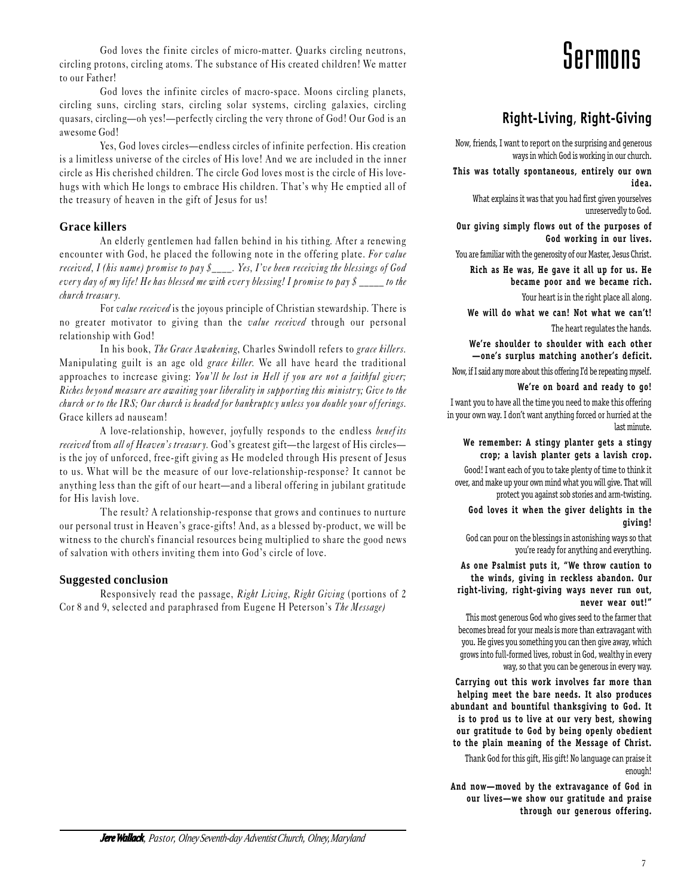God loves the finite circles of micro-matter. Quarks circling neutrons,<br>circling protons, circling atoms. The substance of His created children! We matter<br>to every letther! to our Father!

God loves the infinite circles of macro-space. Moons circling planets, circling suns, circling stars, circling solar systems, circling galaxies, circling quasars, circling-oh yes!-perfectly circling the very throne of God! Our God is an awesome God!

Yes, God loves circles—endless circles of infinite perfection. His creation is a limitless universe of the circles of His love! And we are included in the inner circle as His cherished children. The circle God loves most is the circle of His lovehugs with which He longs to embrace His children. That's why He emptied all of the treasury of heaven in the gift of Jesus for us!

#### **Grace killers**

An elderly gentlemen had fallen behind in his tithing. After a renewing encounter with God, he placed the following note in the offering plate. For value received, I (his name) promise to pay  $\oint$ \_\_\_\_. Yes, I've been receiving the blessings of God every day of my life! He has blessed me with every blessing! I promise to pay  $\oint$  \_\_\_\_ to the church treasur y.

For value received is the joyous principle of Christian stewardship. There is no greater motivator to giving than the value received through our personal relationship with God!

In his book, The Grace Awakening, Charles Swindoll refers to grace killers. Manipulating guilt is an age old *grace killer*. We all have heard the traditional approaches to increase giving: You'll be lost in Hell if you are not a faithful giver; Riches beyond measure are awaiting your liberality in supporting this ministr y; Give to the church or to the IRS; Our church is headed for bankruptc y unless you double your of ferings. Grace killers ad nauseam!

A love-relationship, however, joyfully responds to the endless benefits received from all of Heaven's treasury. God's greatest gift—the largest of His circles is the joy of unforced, free-gift giving as He modeled through His present of Jesus to us. What will be the measure of our love-relationship-response? It cannot be anything less than the gift of our heart—and a liberal offering in jubilant gratitude for His lavish love.

The result? A relationship-response that grows and continues to nurture our personal trust in Heaven's grace-gifts! And, as a blessed by-product, we will be witness to the church's financial resources being multiplied to share the good news of salvation with others inviting them into God's circle of love.

#### **Suggested conclusion**

Responsively read the passage, Right Living, Right Giving (portions of 2 Cor 8 and 9, selected and paraphrased from Eugene H Peterson's The Message)

### **Right-Living**, **Right-Giving**

Now, friends, I want to report on the surprising and generous ways in which God is working in our church.

**This was totally spontaneous, entirely our own idea.**

What explains it was that you had first given yourselves unreservedly to God.

**Our giving simply flows out of the purposes of God working in our lives.**

You are familiar with the generosity of our Master, Jesus Christ.

**Rich as He was, He gave it all up for us. He became poor and we became rich.**

Your heart is in the right place all along.

**We will do what we can! Not what we can't!** The heart regulates the hands.

**We're shoulder to shoulder with each other —one's surplus matching another's deficit.**

Now, if I said any more about this offering I'd be repeating myself.

#### **We're on board and ready to go!**

I want you to have all the time you need to make this offering in your own way. I don't want anything forced or hurried at the last minute.

#### **We remember: A stingy planter gets a stingy crop; a lavish planter gets a lavish crop.**

Good! I want each of you to take plenty of time to think it over, and make up your own mind what you will give. That will protect you against sob stories and arm-twisting.

#### **God loves it when the giver delights in the giving!**

God can pour on the blessings in astonishing ways so that you're ready for anything and everything.

#### **As one Psalmist puts it, "We throw caution to the winds, giving in reckless abandon. Our right-living, right-giving ways never run out, never wear out!"**

This most generous God who gives seed to the farmer that becomes bread for your meals is more than extravagant with you. He gives you something you can then give away, which grows into full-formed lives, robust in God, wealthy in every way, so that you can be generous in every way.

**Carrying out this work involves far more than helping meet the bare needs. It also produces abundant and bountiful thanksgiving to God. It is to prod us to live at our very best, showing our gratitude to God by being openly obedient to the plain meaning of the Message of Christ.**

Thank God for this gift, His gift! No language can praise it enough!

**And now—moved by the extravagance of God in our lives—we show our gratitude and praise through our generous offering.**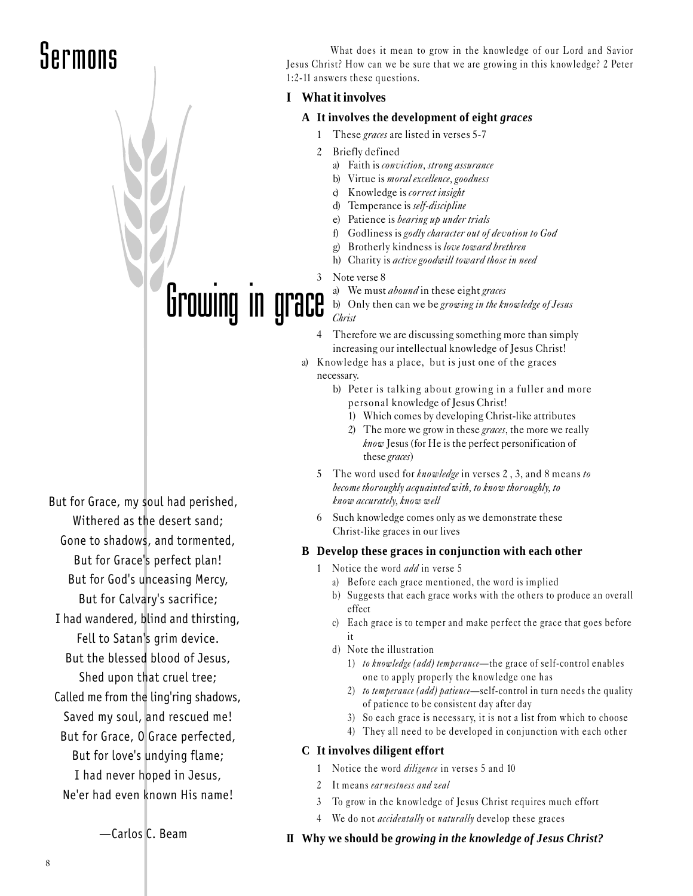# Growing in grace

But for Grace, my soul had perished, Withered as the desert sand; Gone to shadows, and tormented, But for Grace's perfect plan! But for God's unceasing Mercy, But for Calvary's sacrifice; I had wandered, blind and thirsting, Fell to Satan's grim device. But the blessed blood of Jesus, Shed upon that cruel tree; Called me from the ling'ring shadows, Saved my soul, and rescued me! But for Grace, O Grace perfected, But for love's undying flame; I had never hoped in Jesus, Ne'er had even known His name!

—Carlos C. Beam

What does it mean to grow in the knowledge of our Lord and Savior<br>Jesus Christ? How can we be sure that we are growing in this knowledge? 2 Peter 1:2-11 answers these questions.

#### **I What it involves**

#### **A It involves the development of eight** *graces*

- 1 These *graces* are listed in verses 5-7
- 2 Briefly defined
	- a) Faith is conviction, strong assurance
	- b) Virtue is *moral excellence*, goodness
	- c) Knowledge is *correct insight*
	- d) Temperance is self-discipline
	- e) Patience is bearing up under trials
	- f) Godliness is godly character out of devotion to God
	- g) Brotherly kindness is love toward brethren
	- h) Charity is active goodwill toward those in need
- 3 Note verse 8
	- a) We must *abound* in these eight graces
	- b) Only then can we be growing in the knowledge of Jesus Christ
- 4 Therefore we are discussing something more than simply increasing our intellectual knowledge of Jesus Christ!
- a) Knowledge has a place, but is just one of the graces necessary.
	- b) Peter is talking about growing in a fuller and more personal knowledge of Jesus Christ!
		- 1) Which comes by developing Christ-like attributes
		- 2) The more we grow in these graces, the more we really know Jesus (for He is the perfect personification of these *graces*)
	- 5 The word used for *knowledge* in verses 2, 3, and 8 means to become thoroughly acquainted with, to know thoroughly, to know accurately, know well
	- 6 Such knowledge comes only as we demonstrate these Christ-like graces in our lives

#### **B Develop these graces in conjunction with each other**

- 1 Notice the word *add* in verse 5
	- a) Before each grace mentioned, the word is implied
	- b) Suggests that each grace works with the others to produce an overall effect
	- c) Each grace is to temper and make per fect the grace that goes before it
	- d) Note the illustration
		- 1) to knowledge (add) temperance—the grace of self-control enables one to apply properly the knowledge one has
		- 2) to temperance (add) patience-self-control in turn needs the quality of patience to be consistent day after day
		- 3) So each grace is necessary, it is not a list from which to choose
		- 4) They all need to be developed in conjunction with each other

#### **C It involves diligent effort**

- 1 Notice the word *diligence* in verses 5 and 10
- 2 It means earnestness and zeal
- 3 To grow in the knowledge of Jesus Christ requires much effort
- 4 We do not *accidentally* or *naturally* develop these graces

#### **II Why we should be** *growing in the knowledge of Jesus Christ?*

8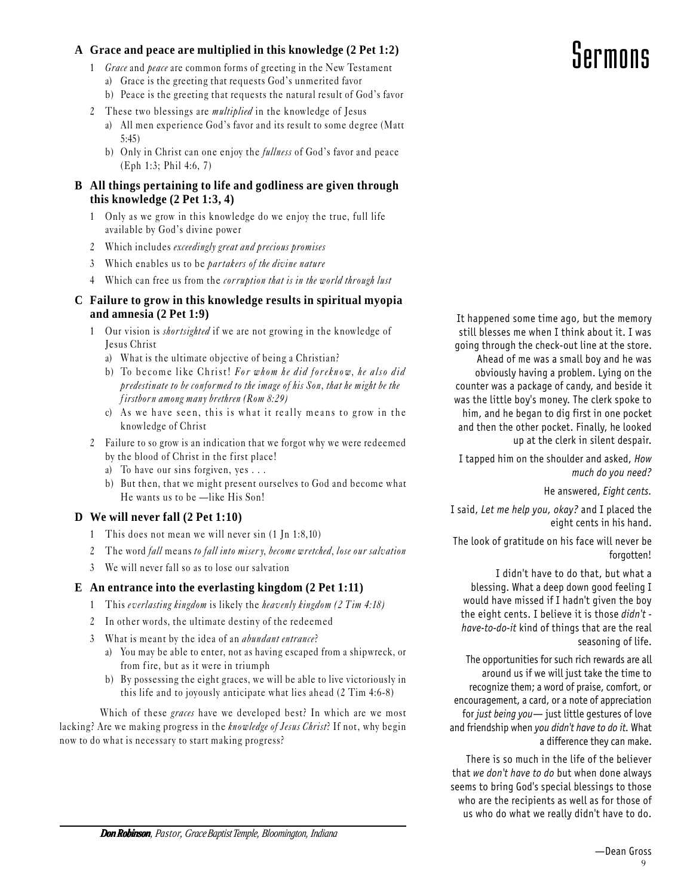#### **A Grace and peace are multiplied in this knowledge (2 Pet 1:2)**

- 1 Grace and peace are common forms of greeting in the New Testament
	- a) Grace is the greeting that requests God's unmerited favor
	- b) Peace is the greeting that requests the natural result of God's favor
- 2 These two blessings are *multiplied* in the knowledge of Jesus
	- a) All men experience God's favor and its result to some degree (Matt 5:45)
	- b) Only in Christ can one enjoy the *fullness* of God's favor and peace (Eph 1:3; Phil 4:6, 7)

#### **B All things pertaining to life and godliness are given through this knowledge (2 Pet 1:3, 4)**

- 1 Only as we grow in this knowledge do we enjoy the true, full life available by God's divine power
- 2 Which includes exceedingly great and precious promises
- 3 Which enables us to be partakers of the divine nature
- 4 Which can free us from the corruption that is in the world through lust

#### **C Failure to grow in this knowledge results in spiritual myopia and amnesia (2 Pet 1:9)**

- 1 Our vision is *shortsighted* if we are not growing in the knowledge of Jesus Christ
	- a) What is the ultimate objective of being a Christian?
	- b) To become like Christ! For whom he did foreknow, he also did predestinate to be conformed to the image of his Son, that he might be the firstborn among many brethren (Rom 8:29)
	- c) As we have seen, this is what it really means to grow in the knowledge of Christ
- 2 Failure to so grow is an indication that we forgot why we were redeemed by the blood of Christ in the first place!
	- a) To have our sins forgiven, yes . . .
	- b) But then, that we might present ourselves to God and become what He wants us to be -like His Son!

#### **D We will never fall (2 Pet 1:10)**

- 1 This does not mean we will never sin (1 Jn 1:8,10)
- 2 The word fall means to fall into misery, become wretched, lose our salvation
- 3 We will never fall so as to lose our salvation

#### **E An entrance into the everlasting kingdom (2 Pet 1:11)**

- 1 This everlasting kingdom is likely the heavenly kingdom (2 Tim 4:18)
- 2 In other words, the ultimate destiny of the redeemed
- 3 What is meant by the idea of an abundant entrance?
	- a) You may be able to enter, not as having escaped from a shipwreck, or from fire, but as it were in triumph
	- b) By possessing the eight graces, we will be able to live victoriously in this life and to joyously anticipate what lies ahead (2 Tim 4:6-8)

Which of these graces have we developed best? In which are we most lacking? Are we making progress in the knowledge of Jesus Christ? If not, why begin now to do what is necessary to start making progress?

### Sermons

 It happened some time ago, but the memory still blesses me when I think about it. I was going through the check-out line at the store. Ahead of me was a small boy and he was obviously having a problem. Lying on the counter was a package of candy, and beside it was the little boy's money. The clerk spoke to him, and he began to dig first in one pocket and then the other pocket. Finally, he looked up at the clerk in silent despair.

I tapped him on the shoulder and asked, *How much do you need?*

He answered, *Eight cents.*

I said, *Let me help you, okay?* and I placed the eight cents in his hand.

The look of gratitude on his face will never be forgotten!

 I didn't have to do that, but what a blessing. What a deep down good feeling I would have missed if I hadn't given the boy the eight cents. I believe it is those *didn't have-to-do-it* kind of things that are the real seasoning of life.

The opportunities for such rich rewards are all around us if we will just take the time to recognize them; a word of praise, comfort, or encouragement, a card, or a note of appreciation for *just being you*— just little gestures of love and friendship when *you didn't have to do it.* What a difference they can make.

 There is so much in the life of the believer that *we don't have to do* but when done always seems to bring God's special blessings to those who are the recipients as well as for those of us who do what we really didn't have to do.

*Don Robinson, Pastor, Grace Baptist Temple, Bloomington, Indiana*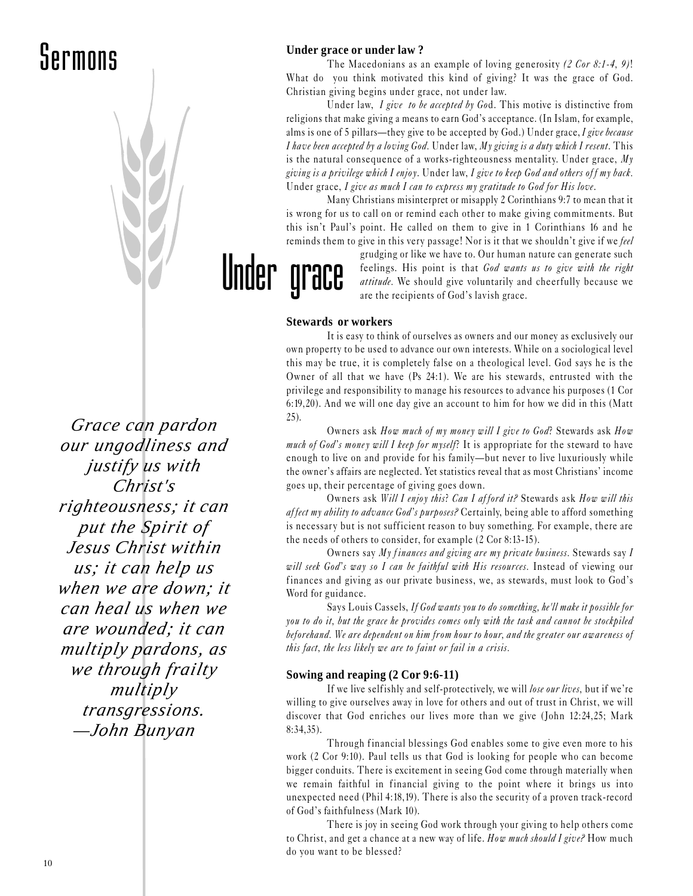### **Sermons Under grace or under law ?**<br>The Macedonians as a



*Grace can pardon our ungodliness and justify us with Christ's righteousness; it can put the Spirit of Jesus Christ within us; it can help us when we are down; it can heal us when we are wounded; it can multiply pardons, as we through frailty multiply transgressions. —John Bunyan*

The Macedonians as an example of loving generosity (2 Cor 8:1-4, 9)! What do you think motivated this kind of giving? It was the grace of God. Christian giving begins under grace, not under law.

Under law, *I give to be accepted by God*. This motive is distinctive from religions that make giving a means to earn God's acceptance. (In Islam, for example, alms is one of 5 pillars—they give to be accepted by God.) Under grace, I give because I have been accepted by a loving God. Under law, My giving is a duty which I resent. This is the natural consequence of a works-righteousness mentality. Under grace, My giving is a privilege which I enjoy. Under law, I give to keep God and others off my back. Under grace, I give as much I can to express my gratitude to God for His love.

Many Christians misinterpret or misapply 2 Corinthians 9:7 to mean that it is wrong for us to call on or remind each other to make giving commitments. But this isn't Paul's point. He called on them to give in 1 Corinthians 16 and he reminds them to give in this very passage! Nor is it that we shouldn't give if we feel

## Under grace

grudging or like we have to. Our human nature can generate such feelings. His point is that God wants us to give with the right attitude. We should give voluntarily and cheerfully because we are the recipients of God's lavish grace.

#### **Stewards or workers**

It is easy to think of ourselves as owners and our money as exclusively our own property to be used to advance our own interests. While on a sociological level this may be true, it is completely false on a theological level. God says he is the Owner of all that we have (Ps 24:1). We are his stewards, entrusted with the privilege and responsibility to manage his resources to advance his purposes (1 Cor 6:19,20). And we will one day give an account to him for how we did in this (Matt 25).

Owners ask How much of my money will I give to God? Stewards ask How much of God's money will I keep for myself? It is appropriate for the steward to have enough to live on and provide for his family—but never to live luxuriously while the owner's affairs are neglected. Yet statistics reveal that as most Christians' income goes up, their percentage of giving goes down.

Owners ask Will I enjoy this? Can I afford it? Stewards ask How will this affect my ability to advance God's purposes? Certainly, being able to afford something is necessary but is not sufficient reason to buy something. For example, there are the needs of others to consider, for example (2 Cor 8:13-15).

Owners say My finances and giving are my private business. Stewards say I will seek God's way so I can be faithful with His resources. Instead of viewing our finances and giving as our private business, we, as stewards, must look to God's Word for guidance.

Says Louis Cassels, If God wants you to do something, he'll make it possible for you to do it, but the grace he provides comes only with the task and cannot be stockpiled beforehand. We are dependent on him from hour to hour, and the greater our awareness of this fact, the less likely we are to faint or fail in a crisis.

#### **Sowing and reaping (2 Cor 9:6-11)**

If we live selfishly and self-protectively, we will lose our lives, but if we're willing to give ourselves away in love for others and out of trust in Christ, we will discover that God enriches our lives more than we give (John 12:24,25; Mark 8:34,35).

Through financial blessings God enables some to give even more to his work (2 Cor 9:10). Paul tells us that God is looking for people who can become bigger conduits. There is excitement in seeing God come through materially when we remain faithful in financial giving to the point where it brings us into unexpected need (Phil 4:18,19). There is also the security of a proven track-record of God's faithfulness (Mark 10).

There is joy in seeing God work through your giving to help others come to Christ, and get a chance at a new way of life. How much should I give? How much do you want to be blessed?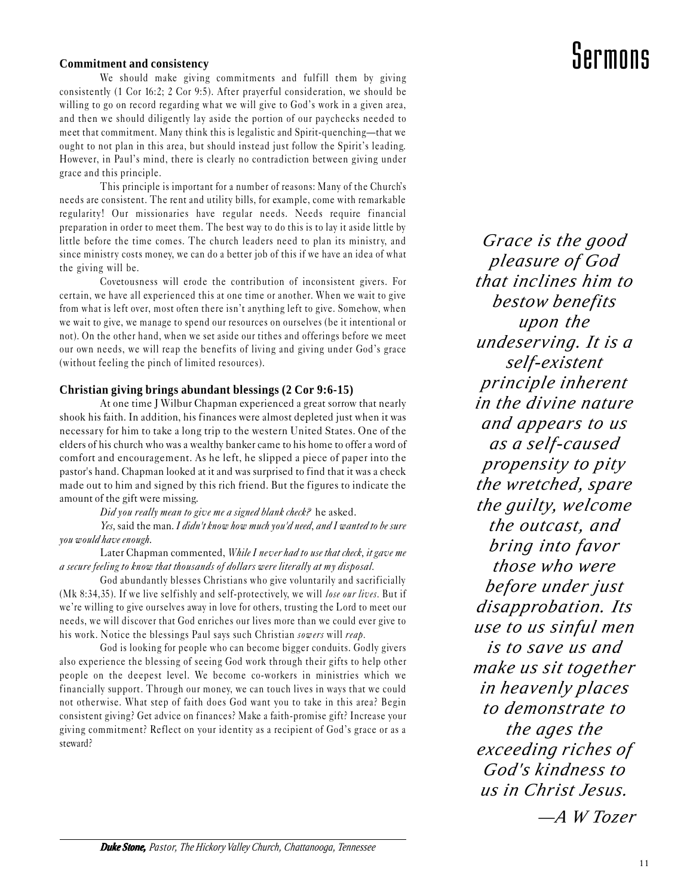#### **Commitment and consistency**

We should make giving commitments and fulfill them by giving consistently (1 Cor 16:2; 2 Cor 9:5). After prayerful consideration, we should be willing to go on record regarding what we will give to God's work in a given area, and then we should diligently lay aside the portion of our paychecks needed to meet that commitment. Many think this is legalistic and Spirit-quenching—that we ought to not plan in this area, but should instead just follow the Spirit's leading. However, in Paul's mind, there is clearly no contradiction between giving under grace and this principle.

This principle is important for a number of reasons: Many of the Church's needs are consistent. The rent and utility bills, for example, come with remarkable regularity! Our missionaries have regular needs. Needs require financial preparation in order to meet them. The best way to do this is to lay it aside little by little before the time comes. The church leaders need to plan its ministry, and since ministry costs money, we can do a better job of this if we have an idea of what the giving will be.

Covetousness will erode the contribution of inconsistent givers. For certain, we have all experienced this at one time or another. When we wait to give from what is left over, most often there isn't anything left to give. Somehow, when we wait to give, we manage to spend our resources on ourselves (be it intentional or not). On the other hand, when we set aside our tithes and offerings before we meet our own needs, we will reap the benefits of living and giving under God's grace (without feeling the pinch of limited resources).

#### **Christian giving brings abundant blessings (2 Cor 9:6-15)**

At one time J Wilbur Chapman experienced a great sorrow that nearly shook his faith. In addition, his finances were almost depleted just when it was necessary for him to take a long trip to the western United States. One of the elders of his church who was a wealthy banker came to his home to offer a word of comfort and encouragement. As he left, he slipped a piece of paper into the pastor's hand. Chapman looked at it and was surprised to find that it was a check made out to him and signed by this rich friend. But the figures to indicate the amount of the gift were missing.

Did you really mean to give me a signed blank check? he asked.

Yes, said the man. I didn't know how much you'd need, and I wanted to be sure you would have enough.

Later Chapman commented, While I never had to use that check, it gave me a secure feeling to know that thousands of dollars were literally at my disposal.

God abundantly blesses Christians who give voluntarily and sacrificially (Mk 8:34,35). If we live selfishly and self-protectively, we will *lose our lives*. But if we're willing to give ourselves away in love for others, trusting the Lord to meet our needs, we will discover that God enriches our lives more than we could ever give to his work. Notice the blessings Paul says such Christian sowers will reap.

God is looking for people who can become bigger conduits. Godly givers also experience the blessing of seeing God work through their gifts to help other people on the deepest level. We become co-workers in ministries which we financially support. Through our money, we can touch lives in ways that we could not otherwise. What step of faith does God want you to take in this area? Begin consistent giving? Get advice on finances? Make a faith-promise gift? Increase your giving commitment? Reflect on your identity as a recipient of God's grace or as a steward?

### Sermons

*Grace is the good pleasure of God that inclines him to bestow benefits upon the undeserving. It is a self-existent principle inherent in the divine nature and appears to us as a self-caused propensity to pity the wretched, spare the guilty, welcome the outcast, and bring into favor those who were before under just disapprobation. Its use to us sinful men is to save us and make us sit together in heavenly places to demonstrate to the ages the exceeding riches of God's kindness to us in Christ Jesus.*

 *—A W Tozer*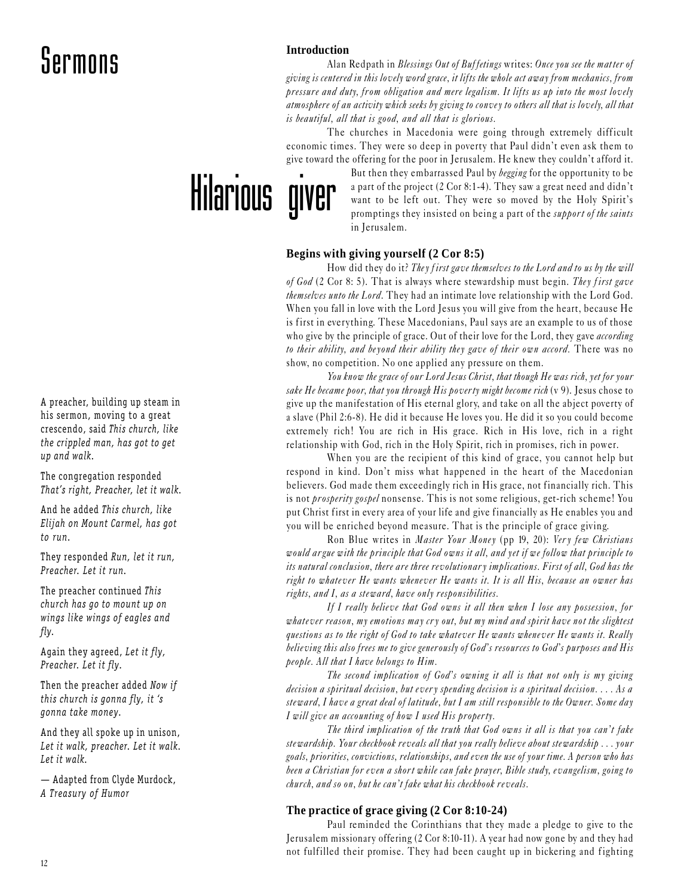A preacher, building up steam in his sermon, moving to a great crescendo, said *This church, like the crippled man, has got to get up and walk.*

The congregation responded *That's right, Preacher, let it walk.*

And he added *This church, like Elijah on Mount Carmel, has got to run.*

They responded *Run, let it run, Preacher. Let it run.*

The preacher continued *This church has go to mount up on wings like wings of eagles and fly.*

Again they agreed, *Let it fly, Preacher. Let it fly.*

Then the preacher added *Now if this church is gonna fly, it 's gonna take money.*

And they all spoke up in unison, *Let it walk, preacher. Let it walk. Let it walk.*

— Adapted from Clyde Murdock, *A Treasury of Humor*

#### **Introduction**

Alan Redpath in Blessings Out of Buffetings writes: Once you see the matter of giving is centered in this lovely word grace, it lifts the whole act away from mechanics, from pressure and duty, from obligation and mere legalism. It lifts us up into the most lovely atmosphere of an activity which seeks by giving to convey to others all that is lovely, all that is beautiful, all that is good, and all that is glorious.

The churches in Macedonia were going through extremely difficult economic times. They were so deep in poverty that Paul didn't even ask them to give toward the offering for the poor in Jerusalem. He knew they couldn't afford it.



But then they embarrassed Paul by begging for the opportunity to be a part of the project (2 Cor 8:1-4). They saw a great need and didn't want to be left out. They were so moved by the Holy Spirit's promptings they insisted on being a part of the *support of the saints* in Jerusalem.

#### **Begins with giving yourself (2 Cor 8:5)**

How did they do it? They first gave themselves to the Lord and to us by the will of God (2 Cor 8: 5). That is always where stewardship must begin. They first gave themselves unto the Lord. They had an intimate love relationship with the Lord God. When you fall in love with the Lord Jesus you will give from the heart, because He is first in everything. These Macedonians, Paul says are an example to us of those who give by the principle of grace. Out of their love for the Lord, they gave according to their ability, and beyond their ability they gave of their own accord. There was no show, no competition. No one applied any pressure on them.

You know the grace of our Lord Jesus Christ, that though He was rich, yet for your sake He became poor, that you through His poverty might become rich  $(v 9)$ . Jesus chose to give up the manifestation of His eternal glory, and take on all the abject poverty of a slave (Phil 2:6-8). He did it because He loves you. He did it so you could become extremely rich! You are rich in His grace. Rich in His love, rich in a right relationship with God, rich in the Holy Spirit, rich in promises, rich in power.

When you are the recipient of this kind of grace, you cannot help but respond in kind. Don't miss what happened in the heart of the Macedonian believers. God made them exceedingly rich in His grace, not financially rich. This is not *prosperity gospel* nonsense. This is not some religious, get-rich scheme! You put Christ first in every area of your life and give financially as He enables you and you will be enriched beyond measure. That is the principle of grace giving.

Ron Blue writes in Master Your Money (pp 19, 20): Very few Christians would argue with the principle that God owns it all, and yet if we follow that principle to its natural conclusion, there are three revolutionar y implications. First of all, God has the right to whatever He wants whenever He wants it. It is all His, because an owner has rights, and I, as a steward, have only responsibilities.

If I really believe that God owns it all then when I lose any possession, for whatever reason, my emotions may cry out, but my mind and spirit have not the slightest questions as to the right of God to take whatever He wants whenever He wants it. Really believing this also frees me to give generously of God's resources to God's purposes and His people. All that I have belongs to Him.

The second implication of God's owning it all is that not only is my giving decision a spiritual decision, but every spending decision is a spiritual decision.... As a steward, I have a great deal of latitude, but I am still responsible to the Owner. Some day I will give an accounting of how I used His property.

The third implication of the truth that God owns it all is that you can't fake stewardship. Your checkbook reveals all that you really believe about stewardship ... your goals, priorities, convictions, relationships, and even the use of your time. A person who has been a Christian for even a short while can fake prayer, Bible study, evangelism, going to  $\emph{church},$  and so on, but he can't fake what his checkbook reveals.

#### **The practice of grace giving (2 Cor 8:10-24)**

Paul reminded the Corinthians that they made a pledge to give to the Jerusalem missionary offering (2 Cor 8:10-11). A year had now gone by and they had not fulfilled their promise. They had been caught up in bickering and fighting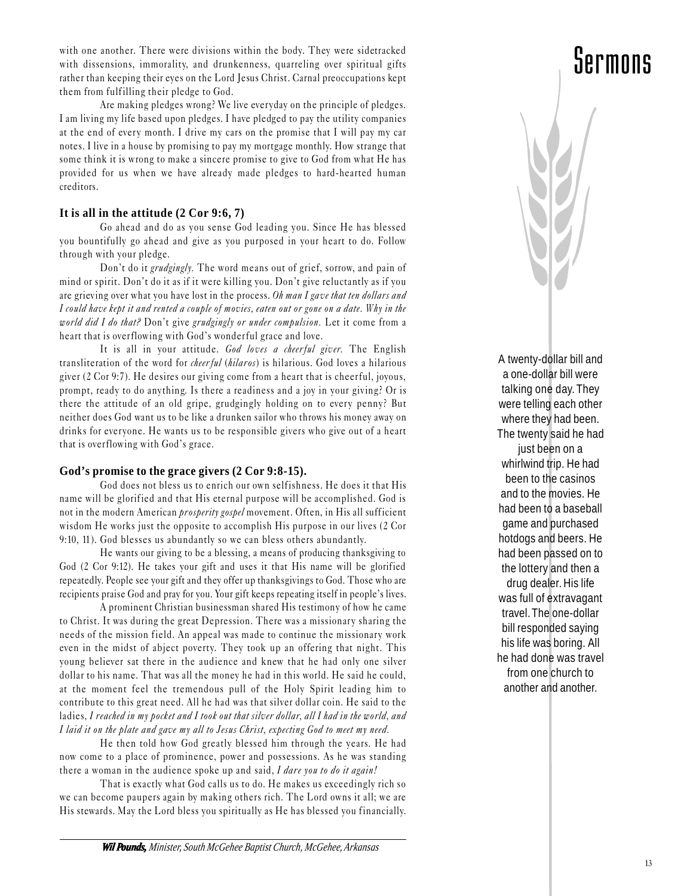with one another. There were divisions within the body. They were sidetracked with dissensions, immorality, and drunkenness, quarreling over spiritual gifts rather than keeping their eyes on the Lord Jesus Christ. Carnal preoccupations kept them from fulfilling their pledge to God.

Are making pledges wrong? We live everyday on the principle of pledges. I am living my life based upon pledges. I have pledged to pay the utility companies at the end of every month. I drive my cars on the promise that I will pay my car notes. I live in a house by promising to pay my mortgage monthly. How strange that some think it is wrong to make a sincere promise to give to God from what He has provided for us when we have already made pledges to hard-hearted human creditors.

#### **It is all in the attitude (2 Cor 9:6, 7)**

Go ahead and do as you sense God leading you. Since He has blessed you bountifully go ahead and give as you purposed in your heart to do. Follow through with your pledge.

Don't do it grudgingly. The word means out of grief, sorrow, and pain of mind or spirit. Don't do it as if it were killing you. Don't give reluctantly as if you are grieving over what you have lost in the process. Oh man I gave that ten dollars and I could have kept it and rented a couple of movies, eaten out or gone on a date. Why in the world did I do that? Don't give grudgingly or under compulsion. Let it come from a heart that is overflowing with God's wonderful grace and love.

It is all in your attitude. God loves a cheerful giver. The English transliteration of the word for cheerful (hilaros) is hilarious. God loves a hilarious giver (2 Cor 9:7). He desires our giving come from a heart that is cheerful, joyous, prompt, ready to do anything. Is there a readiness and a joy in your giving? Or is there the attitude of an old gripe, grudgingly holding on to every penny? But neither does God want us to be like a drunken sailor who throws his money away on drinks for everyone. He wants us to be responsible givers who give out of a heart that is overflowing with God's grace.

#### **God's promise to the grace givers (2 Cor 9:8-15).**

God does not bless us to enrich our own selfishness. He does it that His name will be glorified and that His eternal purpose will be accomplished. God is not in the modern American *prosperity gospel* movement. Often, in His all sufficient wisdom He works just the opposite to accomplish His purpose in our lives (2 Cor 9:10, 11). God blesses us abundantly so we can bless others abundantly.

He wants our giving to be a blessing, a means of producing thanksgiving to God (2 Cor 9:12). He takes your gift and uses it that His name will be glorified repeatedly. People see your gift and they offer up thanksgivings to God. Those who are recipients praise God and pray for you. Your gift keeps repeating itself in people's lives.

A prominent Christian businessman shared His testimony of how he came to Christ. It was during the great Depression. There was a missionary sharing the needs of the mission field. An appeal was made to continue the missionary work even in the midst of abject poverty. They took up an offering that night. This young believer sat there in the audience and knew that he had only one silver dollar to his name. That was all the money he had in this world. He said he could, at the moment feel the tremendous pull of the Holy Spirit leading him to contribute to this great need. All he had was that silver dollar coin. He said to the ladies, I reached in my pocket and I took out that silver dollar, all I had in the world, and I laid it on the plate and gave my all to Jesus Christ, expecting God to meet my need.

He then told how God greatly blessed him through the years. He had now come to a place of prominence, power and possessions. As he was standing there a woman in the audience spoke up and said, I dare you to do it again!

That is exactly what God calls us to do. He makes us exceedingly rich so we can become paupers again by making others rich. The Lord owns it all; we are His stewards. May the Lord bless you spiritually as He has blessed you financially.

A twenty-dollar bill and a one-dollar bill were talking one day. They were telling each other where they had been. The twenty said he had just been on a whirlwind trip. He had been to the casinos and to the movies. He had been to a baseball game and purchased hotdogs and beers. He had been passed on to the lottery and then a drug dealer. His life was full of extravagant travel. The one-dollar bill responded saying his life was boring. All he had done was travel from one church to another and another.

## Sermons

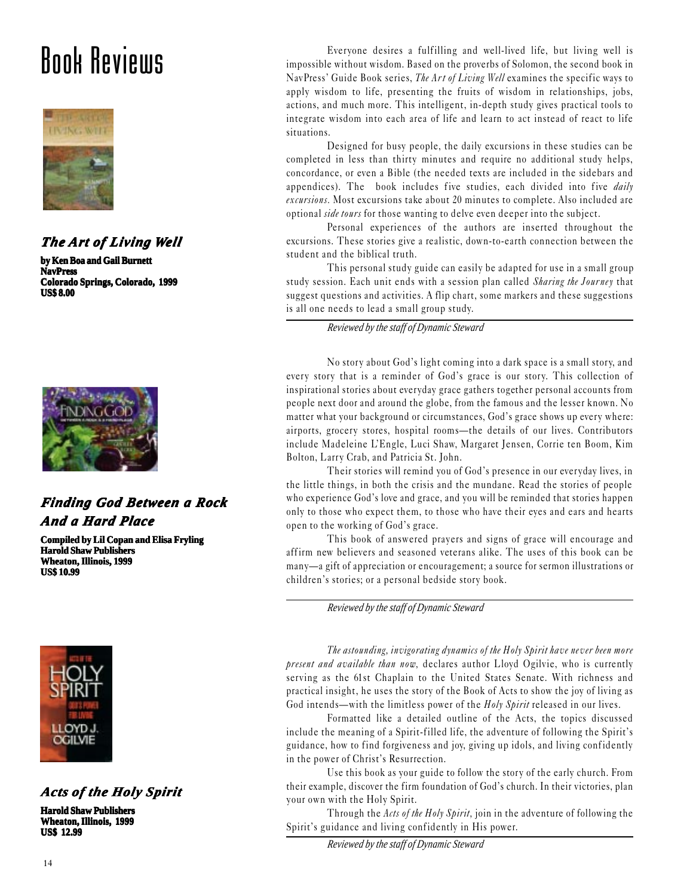### Book Reviews



### *The Art of Living Well*

**by Ken Boa and Gail Burnett NavPress Colorado Springs, Colorado, 1999 US\$ 8.00**



### *Finding God Between a Rock And a Hard Place*

**Compiled by Lil Copan and Elisa Fryling Harold Shaw Publishers Wheaton, Illinois, 1999 US\$ 10.99**



*Acts of the Holy Spirit Acts of the Holy Spirit*

**Harold Shaw Publishers Wheaton, Illinois, 1999 US\$ 12.99**

Everyone desires a fulfilling and well-lived life, but living well is impossible without wisdom. Based on the proverbs of Solomon, the second book in NavPress' Guide Book series, The Art of Living Well examines the specific ways to apply wisdom to life, presenting the fruits of wisdom in relationships, jobs, actions, and much more. This intelligent, in-depth study gives practical tools to integrate wisdom into each area of life and learn to act instead of react to life situations.

Designed for busy people, the daily excursions in these studies can be completed in less than thirty minutes and require no additional study helps, concordance, or even a Bible (the needed texts are included in the sidebars and appendices). The book includes five studies, each divided into five daily excursions. Most excursions take about 20 minutes to complete. Also included are optional side tours for those wanting to delve even deeper into the subject.

Personal experiences of the authors are inserted throughout the excursions. These stories give a realistic, down-to-earth connection between the student and the biblical truth.

This personal study guide can easily be adapted for use in a small group study session. Each unit ends with a session plan called *Sharing the Journey* that suggest questions and activities. A flip chart, some markers and these suggestions is all one needs to lead a small group study.

*Reviewed by the staff of Dynamic Steward*

No story about God's light coming into a dark space is a small story, and every story that is a reminder of God's grace is our story. This collection of inspirational stories about everyday grace gathers together personal accounts from people next door and around the globe, from the famous and the lesser known. No matter what your background or circumstances, God's grace shows up every where: airports, grocery stores, hospital rooms—the details of our lives. Contributors include Madeleine LEngle, Luci Shaw, Margaret Jensen, Corrie ten Boom, Kim Bolton, Larry Crab, and Patricia St. John.

Their stories will remind you of God's presence in our everyday lives, in the little things, in both the crisis and the mundane. Read the stories of people who experience God's love and grace, and you will be reminded that stories happen only to those who expect them, to those who have their eyes and ears and hearts open to the working of God's grace.

This book of answered prayers and signs of grace will encourage and affirm new believers and seasoned veterans alike. The uses of this book can be many-a gift of appreciation or encouragement; a source for sermon illustrations or children's stories; or a personal bedside story book.

*Reviewed by the staff of Dynamic Steward*

The astounding, invigorating dynamics of the Holy Spirit have never been more present and available than now, declares author Lloyd Ogilvie, who is currently serving as the 61st Chaplain to the United States Senate. With richness and practical insight, he uses the story of the Book of Acts to show the joy of living as God intends—with the limitless power of the *Holy Spirit* released in our lives.

Formatted like a detailed outline of the Acts, the topics discussed include the meaning of a Spirit-filled life, the adventure of following the Spirit's guidance, how to find forgiveness and joy, giving up idols, and living confidently in the power of Christ's Resurrection.

Use this book as your guide to follow the story of the early church. From their example, discover the firm foundation of God's church. In their victories, plan your own with the Holy Spirit.

Through the Acts of the Holy Spirit, join in the adventure of following the Spirit's guidance and living confidently in His power.

*Reviewed by the staff of Dynamic Steward*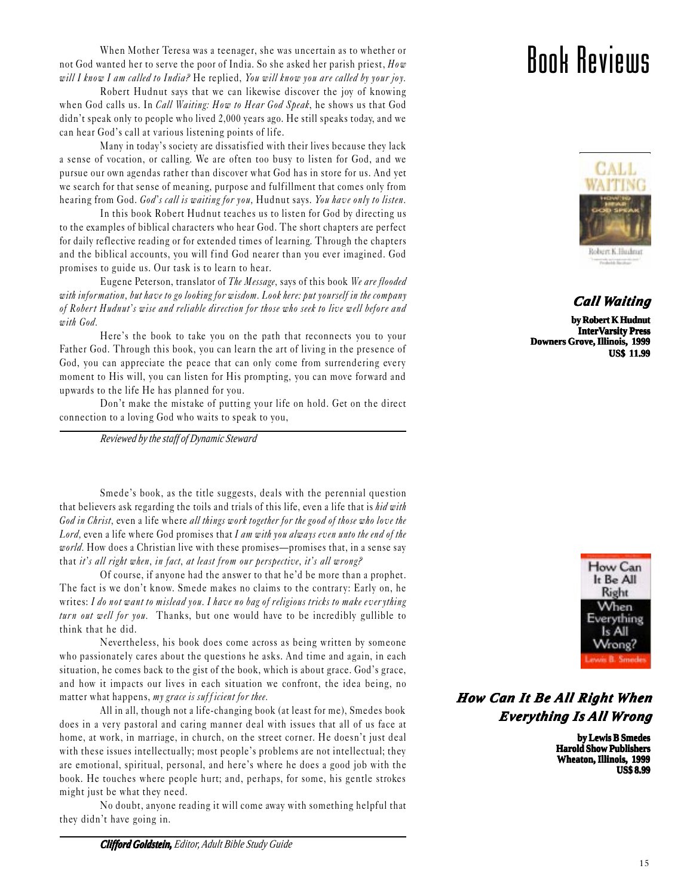When Mother Teresa was a teenager, she was uncertain as to whether or not God wanted her to serve the poor of India. So she asked her parish priest,  $How$ will I know I am called to India? He replied, You will know you are called by your joy.

Robert Hudnut says that we can likewise discover the joy of knowing when God calls us. In *Call Waiting: How to Hear God Speak*, he shows us that God didn't speak only to people who lived 2,000 years ago. He still speaks today, and we can hear God's call at various listening points of life.

Many in today's society are dissatisfied with their lives because they lack a sense of vocation, or calling. We are often too busy to listen for God, and we pursue our own agendas rather than discover what God has in store for us. And yet we search for that sense of meaning, purpose and fulfillment that comes only from hearing from God. God's call is waiting for you, Hudnut says. You have only to listen.

In this book Robert Hudnut teaches us to listen for God by directing us to the examples of biblical characters who hear God. The short chapters are per fect for daily reflective reading or for extended times of learning. Through the chapters and the biblical accounts, you will find God nearer than you ever imagined. God promises to guide us. Our task is to learn to hear.

Eugene Peterson, translator of The Message, says of this book We are flooded with information, but have to go looking for wisdom. Look here: put yourself in the company of Robert Hudnut's wise and reliable direction for those who seek to live well before and with God.

Here's the book to take you on the path that reconnects you to your Father God. Through this book, you can learn the art of living in the presence of God, you can appreciate the peace that can only come from surrendering every moment to His will, you can listen for His prompting, you can move forward and upwards to the life He has planned for you.

Don't make the mistake of putting your life on hold. Get on the direct connection to a loving God who waits to speak to you,

*Reviewed by the staff of Dynamic Steward*

Smede's book, as the title suggests, deals with the perennial question that believers ask regarding the toils and trials of this life, even a life that is *hid with* God in Christ, even a life where all things work together for the good of those who love the Lord, even a life where God promises that  $I$  am with you always even unto the end of the world. How does a Christian live with these promises—promises that, in a sense say that it's all right when, in fact, at least from our perspective, it's all wrong?

Of course, if anyone had the answer to that he'd be more than a prophet. The fact is we don't know. Smede makes no claims to the contrary: Early on, he writes: I do not want to mislead you. I have no bag of religious tricks to make ever ything turn out well for you. Thanks, but one would have to be incredibly gullible to think that he did.

Nevertheless, his book does come across as being written by someone who passionately cares about the questions he asks. And time and again, in each situation, he comes back to the gist of the book, which is about grace. God's grace, and how it impacts our lives in each situation we confront, the idea being, no matter what happens, my grace is sufficient for thee.

All in all, though not a life-changing book (at least for me), Smedes book does in a very pastoral and caring manner deal with issues that all of us face at home, at work, in marriage, in church, on the street corner. He doesn't just deal with these issues intellectually; most people's problems are not intellectual; they are emotional, spiritual, personal, and here's where he does a good job with the book. He touches where people hurt; and, perhaps, for some, his gentle strokes might just be what they need.

No doubt, anyone reading it will come away with something helpful that they didn't have going in.

### Book Reviews



#### *Call Waiting*

**by Robert K Hudnut InterVarsity Press Downers Grove, Illinois, 1999 US\$ 11.99**



### **How Can It Be All Right When** *Everything Is All Wrong*

**by Lewis B Smedes Harold Show Publishers Wheaton, Illinois, 1999 US\$ 8.99**